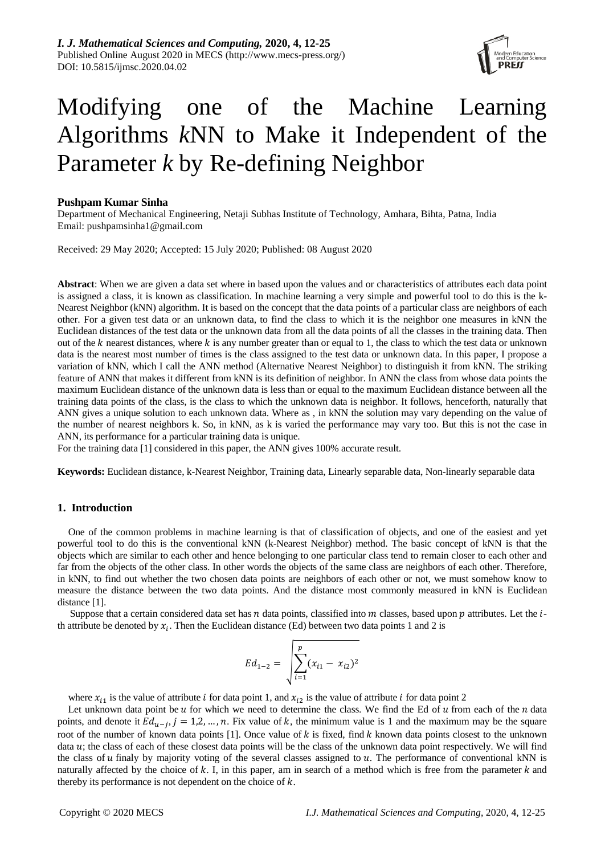

# Modifying one of the Machine Learning Algorithms *k*NN to Make it Independent of the Parameter *k* by Re-defining Neighbor

# **Pushpam Kumar Sinha**

Department of Mechanical Engineering, Netaji Subhas Institute of Technology, Amhara, Bihta, Patna, India Email: [pushpamsinha1@gmail.com](mailto:pushpamsinha1@gmail.com)

Received: 29 May 2020; Accepted: 15 July 2020; Published: 08 August 2020

**Abstract**: When we are given a data set where in based upon the values and or characteristics of attributes each data point is assigned a class, it is known as classification. In machine learning a very simple and powerful tool to do this is the k-Nearest Neighbor (kNN) algorithm. It is based on the concept that the data points of a particular class are neighbors of each other. For a given test data or an unknown data, to find the class to which it is the neighbor one measures in kNN the Euclidean distances of the test data or the unknown data from all the data points of all the classes in the training data. Then out of the  $k$  nearest distances, where  $k$  is any number greater than or equal to 1, the class to which the test data or unknown data is the nearest most number of times is the class assigned to the test data or unknown data. In this paper, I propose a variation of kNN, which I call the ANN method (Alternative Nearest Neighbor) to distinguish it from kNN. The striking feature of ANN that makes it different from kNN is its definition of neighbor. In ANN the class from whose data points the maximum Euclidean distance of the unknown data is less than or equal to the maximum Euclidean distance between all the training data points of the class, is the class to which the unknown data is neighbor. It follows, henceforth, naturally that ANN gives a unique solution to each unknown data. Where as , in kNN the solution may vary depending on the value of the number of nearest neighbors k. So, in kNN, as k is varied the performance may vary too. But this is not the case in ANN, its performance for a particular training data is unique.

For the training data [1] considered in this paper, the ANN gives 100% accurate result.

**Keywords:** Euclidean distance, k-Nearest Neighbor, Training data, Linearly separable data, Non-linearly separable data

# **1. Introduction**

One of the common problems in machine learning is that of classification of objects, and one of the easiest and yet powerful tool to do this is the conventional kNN (k-Nearest Neighbor) method. The basic concept of kNN is that the objects which are similar to each other and hence belonging to one particular class tend to remain closer to each other and far from the objects of the other class. In other words the objects of the same class are neighbors of each other. Therefore, in kNN, to find out whether the two chosen data points are neighbors of each other or not, we must somehow know to measure the distance between the two data points. And the distance most commonly measured in kNN is Euclidean distance [1].

Suppose that a certain considered data set has  $n$  data points, classified into  $m$  classes, based upon  $p$  attributes. Let the  $i$ th attribute be denoted by  $x_i$ . Then the Euclidean distance (Ed) between two data points 1 and 2 is

$$
Ed_{1-2} = \sqrt{\sum_{i=1}^{p} (x_{i1} - x_{i2})^2}
$$

where  $x_{i1}$  is the value of attribute *i* for data point 1, and  $x_{i2}$  is the value of attribute *i* for data point 2

Let unknown data point be  $u$  for which we need to determine the class. We find the Ed of  $u$  from each of the  $n$  data points, and denote it  $Ed_{u-j}$ ,  $j = 1,2,...,n$ . Fix value of k, the minimum value is 1 and the maximum may be the square root of the number of known data points [1]. Once value of  $k$  is fixed, find  $k$  known data points closest to the unknown data  $u$ ; the class of each of these closest data points will be the class of the unknown data point respectively. We will find the class of  $u$  finaly by majority voting of the several classes assigned to  $u$ . The performance of conventional kNN is naturally affected by the choice of  $k$ . I, in this paper, am in search of a method which is free from the parameter  $k$  and thereby its performance is not dependent on the choice of  $k$ .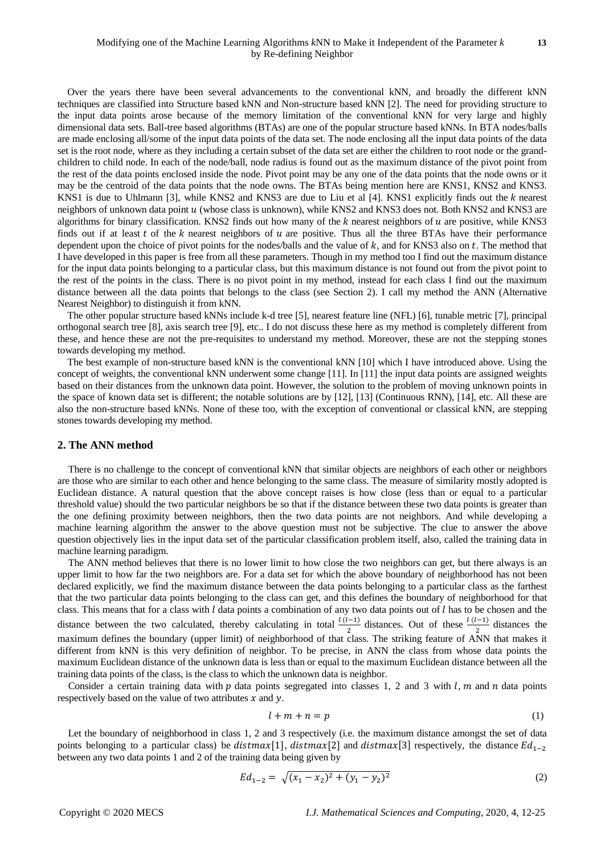Over the years there have been several advancements to the conventional kNN, and broadly the different kNN techniques are classified into Structure based kNN and Non-structure based kNN [2]. The need for providing structure to the input data points arose because of the memory limitation of the conventional kNN for very large and highly dimensional data sets. Ball-tree based algorithms (BTAs) are one of the popular structure based kNNs. In BTA nodes/balls are made enclosing all/some of the input data points of the data set. The node enclosing all the input data points of the data set is the root node, where as they including a certain subset of the data set are either the children to root node or the grandchildren to child node. In each of the node/ball, node radius is found out as the maximum distance of the pivot point from the rest of the data points enclosed inside the node. Pivot point may be any one of the data points that the node owns or it may be the centroid of the data points that the node owns. The BTAs being mention here are KNS1, KNS2 and KNS3. KNS1 is due to Uhlmann [3], while KNS2 and KNS3 are due to Liu et al [4]. KNS1 explicitly finds out the k nearest neighbors of unknown data point u (whose class is unknown), while KNS2 and KNS3 does not. Both KNS2 and KNS3 are algorithms for binary classification. KNS2 finds out how many of the  $k$  nearest neighbors of  $u$  are positive, while KNS3 finds out if at least  $t$  of the  $k$  nearest neighbors of  $u$  are positive. Thus all the three BTAs have their performance dependent upon the choice of pivot points for the nodes/balls and the value of  $k$ , and for KNS3 also on  $t$ . The method that I have developed in this paper is free from all these parameters. Though in my method too I find out the maximum distance for the input data points belonging to a particular class, but this maximum distance is not found out from the pivot point to the rest of the points in the class. There is no pivot point in my method, instead for each class I find out the maximum distance between all the data points that belongs to the class (see Section 2). I call my method the ANN (Alternative Nearest Neighbor) to distinguish it from kNN.

The other popular structure based kNNs include k-d tree [5], nearest feature line (NFL) [6], tunable metric [7], principal orthogonal search tree [8], axis search tree [9], etc.. I do not discuss these here as my method is completely different from these, and hence these are not the pre-requisites to understand my method. Moreover, these are not the stepping stones towards developing my method.

The best example of non-structure based kNN is the conventional kNN [10] which I have introduced above. Using the concept of weights, the conventional kNN underwent some change [11]. In [11] the input data points are assigned weights based on their distances from the unknown data point. However, the solution to the problem of moving unknown points in the space of known data set is different; the notable solutions are by [12], [13] (Continuous RNN), [14], etc. All these are also the non-structure based kNNs. None of these too, with the exception of conventional or classical kNN, are stepping stones towards developing my method.

## **2. The ANN method**

There is no challenge to the concept of conventional kNN that similar objects are neighbors of each other or neighbors are those who are similar to each other and hence belonging to the same class. The measure of similarity mostly adopted is Euclidean distance. A natural question that the above concept raises is how close (less than or equal to a particular threshold value) should the two particular neighbors be so that if the distance between these two data points is greater than the one defining proximity between neighbors, then the two data points are not neighbors. And while developing a machine learning algorithm the answer to the above question must not be subjective. The clue to answer the above question objectively lies in the input data set of the particular classification problem itself, also, called the training data in machine learning paradigm.

The ANN method believes that there is no lower limit to how close the two neighbors can get, but there always is an upper limit to how far the two neighbors are. For a data set for which the above boundary of neighborhood has not been declared explicitly, we find the maximum distance between the data points belonging to a particular class as the farthest that the two particular data points belonging to the class can get, and this defines the boundary of neighborhood for that class. This means that for a class with  $l$  data points a combination of any two data points out of  $l$  has to be chosen and the distance between the two calculated, thereby calculating in total  $\frac{l(l-1)}{2}$  distances. Out of these  $\frac{l(l-1)}{2}$  distances the maximum defines the boundary (upper limit) of neighborhood of that class. The striking feature of ANN that makes it different from kNN is this very definition of neighbor. To be precise, in ANN the class from whose data points the maximum Euclidean distance of the unknown data is less than or equal to the maximum Euclidean distance between all the training data points of the class, is the class to which the unknown data is neighbor.

Consider a certain training data with  $p$  data points segregated into classes 1, 2 and 3 with  $l$ ,  $m$  and  $n$  data points respectively based on the value of two attributes  $x$  and  $y$ .

$$
l + m + n = p \tag{1}
$$

Let the boundary of neighborhood in class 1, 2 and 3 respectively (i.e. the maximum distance amongst the set of data points belonging to a particular class) be  $distmax[1]$ ,  $distmax[2]$  and  $distmax[3]$  respectively, the distance  $Ed_{1-2}$ between any two data points 1 and 2 of the training data being given by

$$
Ed_{1-2} = \sqrt{(x_1 - x_2)^2 + (y_1 - y_2)^2}
$$
 (2)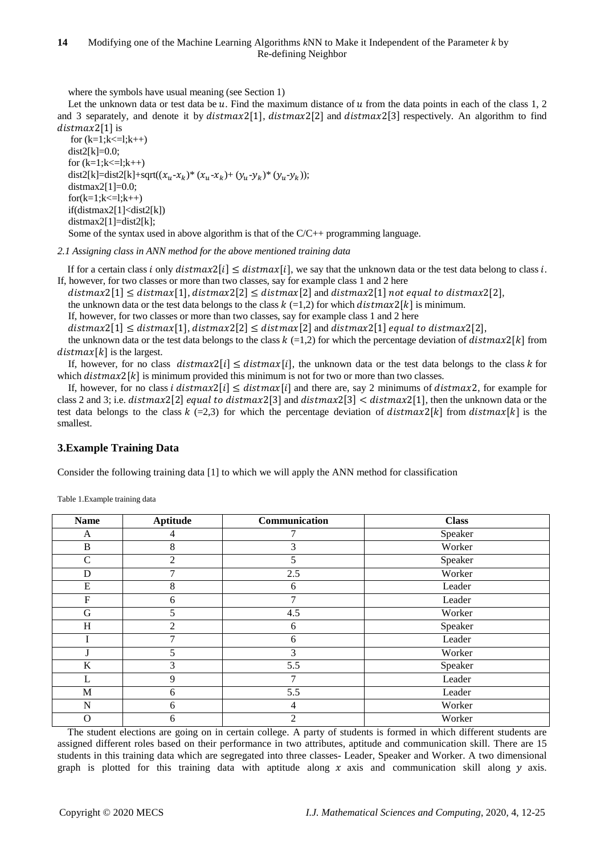where the symbols have usual meaning (see Section 1)

Let the unknown data or test data be  $u$ . Find the maximum distance of  $u$  from the data points in each of the class 1, 2 and 3 separately, and denote it by  $distmax[1]$ ,  $distmax[2]$  and  $distmax[2]$  respectively. An algorithm to find  $distmax2[1]$  is

```
for (k=1; k<=1; k++)dist2[k]=0.0;for (k=1; k<=1; k++)dist2[k]=dist2[k]+sqrt((x_u - x_k)* (x_u - x_k) + (y_u - y_k)* (y_u - y_k));
distmax2[1]=0.0;
for(k=1;k<=1;k++)if(distmax2[1]<dist2[k])
distmax2[1]=dist2[k];
Some of the syntax used in above algorithm is that of the C/C++ programming language.
```
*2.1 Assigning class in ANN method for the above mentioned training data*

If for a certain class i only  $distmax[1] \leq distmax[i]$ , we say that the unknown data or the test data belong to class i. If, however, for two classes or more than two classes, say for example class 1 and 2 here

 $distmax[1] \leq distmax[1], distmax[2] \leq distmax[2]$  and  $distmax[1]$  not equal to distmax2[2],

the unknown data or the test data belongs to the class  $k (=1,2)$  for which  $distmax2[k]$  is minimum.

If, however, for two classes or more than two classes, say for example class 1 and 2 here

 $distmax2[1] \leq distmax[1], distmax2[2] \leq distmax[2]$  and  $distmax2[1]$  equal to distmax2[2],

the unknown data or the test data belongs to the class  $k$  (=1,2) for which the percentage deviation of  $distmax2[k]$  from  $distmax[k]$  is the largest.

If, however, for no class  $distmax[i] \leq distmax[i]$ , the unknown data or the test data belongs to the class k for which  $distmax2[k]$  is minimum provided this minimum is not for two or more than two classes.

If, however, for no class *i* distmax $2[i] \leq$  distmax $[i]$  and there are, say 2 minimums of distmax $2$ , for example for class 2 and 3; i.e.  $distmax2[2]$  equal to  $distmax2[3]$  and  $distmax2[3] < distmax2[1]$ , then the unknown data or the test data belongs to the class  $k$  (=2,3) for which the percentage deviation of distmax $2[k]$  from distmax $[k]$  is the smallest.

# **3.Example Training Data**

Consider the following training data [1] to which we will apply the ANN method for classification

| <b>Name</b>  | <b>Aptitude</b> | Communication | <b>Class</b> |
|--------------|-----------------|---------------|--------------|
| A            | 4               |               | Speaker      |
| $\, {\bf B}$ | 8               | 3             | Worker       |
| $\mathsf{C}$ | 2               | 5             | Speaker      |
| D            | ⇁               | 2.5           | Worker       |
| ${\bf E}$    | 8               | 6             | Leader       |
| $\mathbf F$  | 6               | 7             | Leader       |
| G            | 5               | 4.5           | Worker       |
| H            | 2               | 6             | Speaker      |
|              | 7               | 6             | Leader       |
|              | 5               | 3             | Worker       |
| K            | 3               | 5.5           | Speaker      |
| L            | 9               | 7             | Leader       |
| M            | 6               | 5.5           | Leader       |
| N            | 6               | 4             | Worker       |
| Ο            | 6               | 2             | Worker       |

Table 1.Example training data

The student elections are going on in certain college. A party of students is formed in which different students are assigned different roles based on their performance in two attributes, aptitude and communication skill. There are 15 students in this training data which are segregated into three classes- Leader, Speaker and Worker. A two dimensional graph is plotted for this training data with aptitude along  $x$  axis and communication skill along  $y$  axis.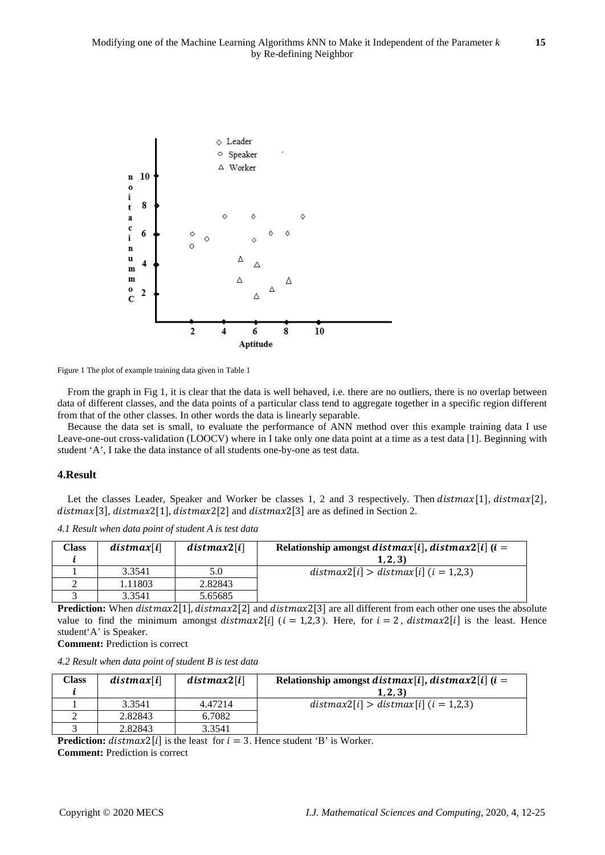

Figure 1 The plot of example training data given in Table 1

From the graph in Fig 1, it is clear that the data is well behaved, i.e. there are no outliers, there is no overlap between data of different classes, and the data points of a particular class tend to aggregate together in a specific region different from that of the other classes. In other words the data is linearly separable.

Because the data set is small, to evaluate the performance of ANN method over this example training data I use Leave-one-out cross-validation (LOOCV) where in I take only one data point at a time as a test data [1]. Beginning with student 'A', I take the data instance of all students one-by-one as test data.

#### **4.Result**

Let the classes Leader, Speaker and Worker be classes 1, 2 and 3 respectively. Then  $distmax[1]$ ,  $distmax[2]$ ,  $distmax[3]$ ,  $distmax[1]$ ,  $distmax[2]$  and  $distmax[3]$  are as defined in Section 2.

*4.1 Result when data point of student A is test data*

| <b>Class</b> | distmax[i] | distmax2[i] | Relationship amongst <i>distmax</i> [ <i>i</i> ], <i>distmax</i> 2[ <i>i</i> ] ( <i>i</i> =<br>(1, 2, 3) |
|--------------|------------|-------------|----------------------------------------------------------------------------------------------------------|
|              | 3.3541     | 5.0         | $distmax2[i] > distmax[i]$ ( <i>i</i> = 1,2,3)                                                           |
|              | 1.11803    | 2.82843     |                                                                                                          |
|              | 3.3541     | 5.65685     |                                                                                                          |

**Prediction:** When  $distmax2[1]$ ,  $distmax2[2]$  and  $distmax2[3]$  are all different from each other one uses the absolute value to find the minimum amongst distmax2[i] ( $i = 1,2,3$ ). Here, for  $i = 2$ , distmax2[i] is the least. Hence student'A' is Speaker.

**Comment:** Prediction is correct

*4.2 Result when data point of student B is test data*

| Class | distmax[i] | distmax2[i] | Relationship amongst <i>distmax</i> [ <i>i</i> ], <i>distmax</i> 2[ <i>i</i> ] ( <i>i</i> =<br>(1, 2, 3) |
|-------|------------|-------------|----------------------------------------------------------------------------------------------------------|
|       | 3.3541     | 4.47214     | $distmax2[i] > distmax[i]$ ( <i>i</i> = 1,2,3)                                                           |
|       | 2.82843    | 6.7082      |                                                                                                          |
|       | 2.82843    | 3.3541      |                                                                                                          |

**Prediction:** distmax2[i] is the least for  $i = 3$ . Hence student 'B' is Worker.

**Comment:** Prediction is correct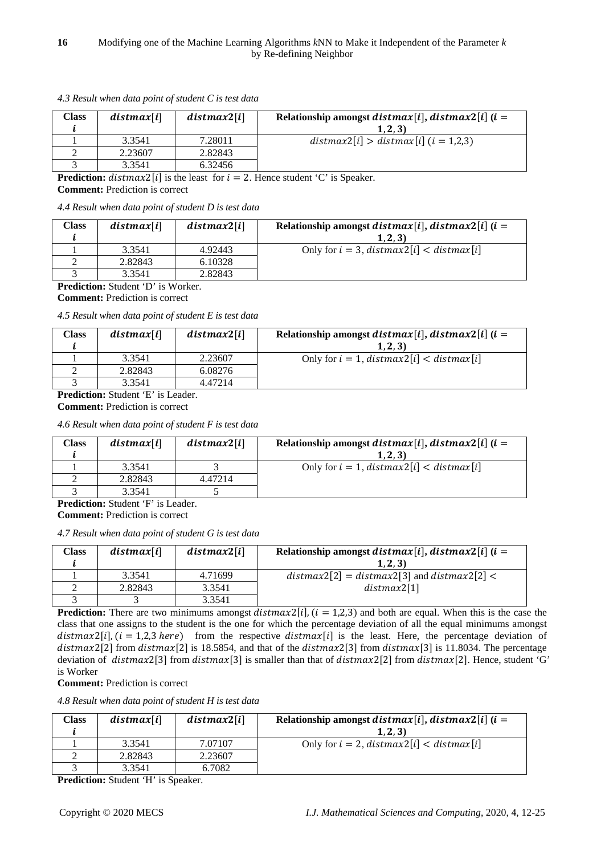| Class | distmax[i] | distmax2[i] | Relationship amongst distmax[i], distmax2[i] $(i =$ |
|-------|------------|-------------|-----------------------------------------------------|
|       |            |             | (1, 2, 3)                                           |
|       | 3.3541     | 7.28011     | $distmax2[i] > distmax[i]$ ( <i>i</i> = 1,2,3)      |
|       | 2.23607    | 2.82843     |                                                     |
|       | 3.3541     | 6.32456     |                                                     |

*4.3 Result when data point of student C is test data*

**Prediction:**  $distmax2[i]$  is the least for  $i = 2$ . Hence student 'C' is Speaker.

**Comment:** Prediction is correct

*4.4 Result when data point of student D is test data*

| Class | distmax[i] | distmax2[i] | Relationship amongst distmax[i], distmax2[i] $(i =$<br>(1, 2, 3) |
|-------|------------|-------------|------------------------------------------------------------------|
|       | 3.3541     | 4.92443     | Only for $i = 3$ , distmax2[i] < distmax[i]                      |
|       | 2.82843    | 6.10328     |                                                                  |
|       | 3.3541     | 2.82843     |                                                                  |

**Prediction:** Student 'D' is Worker.

**Comment:** Prediction is correct

*4.5 Result when data point of student E is test data*

| Class | distmax[i] | distmax2[i] | Relationship amongst distmax[i], distmax2[i] $(i =$ |
|-------|------------|-------------|-----------------------------------------------------|
|       |            |             | (1, 2, 3)                                           |
|       | 3.3541     | 2.23607     | Only for $i = 1$ , distmax $2[i] <$ distmax $[i]$   |
|       | 2.82843    | 6.08276     |                                                     |
|       | 3.3541     | 4.47214     |                                                     |
|       | _ _ _ _    |             |                                                     |

**Prediction:** Student 'E' is Leader.

**Comment:** Prediction is correct

*4.6 Result when data point of student F is test data*

| Class | distmax[i] | distmax2[i] | Relationship amongst distmax[i], distmax2[i] $(i =$ |
|-------|------------|-------------|-----------------------------------------------------|
|       |            |             | (1, 2, 3)                                           |
|       | 3.3541     |             | Only for $i = 1$ , distmax2[i] < distmax[i]         |
|       | 2.82843    | 4.47214     |                                                     |
|       | 3.3541     |             |                                                     |

**Prediction:** Student 'F' is Leader.

**Comment:** Prediction is correct

*4.7 Result when data point of student G is test data*

| Class | distmax[i] | distmax2[i] | Relationship amongst distmax[i], distmax2[i] $(i =$<br>(1, 2, 3) |
|-------|------------|-------------|------------------------------------------------------------------|
|       | 3.3541     | 4.71699     | $distmax2[2] = distmax2[3]$ and $distmax2[2] <$                  |
|       | 2.82843    | 3.3541      | distmax2[1]                                                      |
|       |            | 3.3541      |                                                                  |

**Prediction:** There are two minimums amongst  $distmax2[i]$ ,  $(i = 1,2,3)$  and both are equal. When this is the case the class that one assigns to the student is the one for which the percentage deviation of all the equal minimums amongst  $distmax2[i], (i = 1,2,3 \text{ here})$  from the respective  $distmax[i]$  is the least. Here, the percentage deviation of  $distmax[2]$  from  $distmax[2]$  is 18.5854, and that of the  $distmax[3]$  from  $distmax[3]$  is 11.8034. The percentage deviation of distmax2[3] from distmax[3] is smaller than that of distmax2[2] from distmax[2]. Hence, student 'G' is Worker

**Comment:** Prediction is correct

*4.8 Result when data point of student H is test data*

| Class | distmax[i] | distmax2[i] | Relationship amongst distmax[i], distmax2[i] $(i =$<br>(1, 2, 3) |
|-------|------------|-------------|------------------------------------------------------------------|
|       | 3.3541     | 7.07107     | Only for $i = 2$ , distmax $2[i] <$ distmax $[i]$                |
|       | 2.82843    | 2.23607     |                                                                  |
|       | 3.3541     | 6.7082      |                                                                  |

**Prediction:** Student 'H' is Speaker.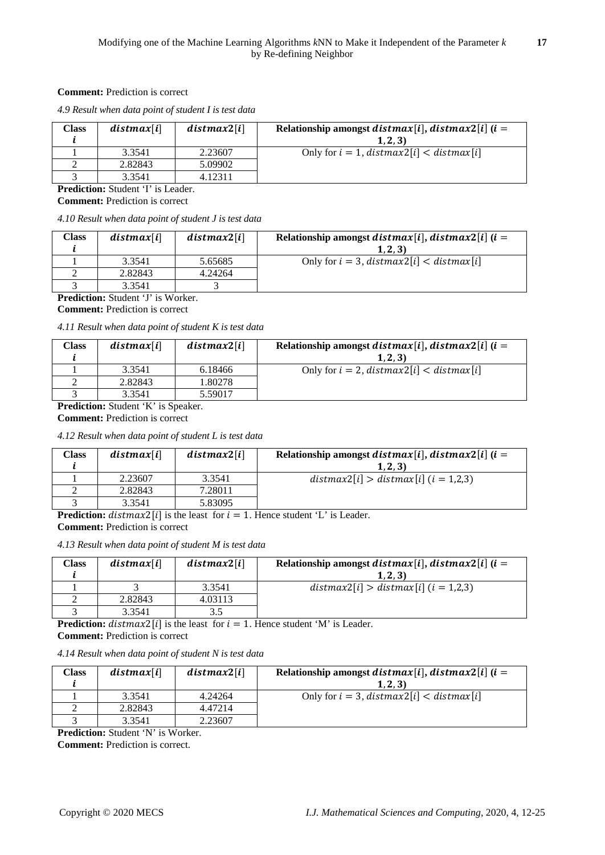# **Comment:** Prediction is correct

*4.9 Result when data point of student I is test data*

| Class | distmax[i] | distmax2[i] | Relationship amongst <i>distmax</i> [ <i>i</i> ], <i>distmax</i> 2[ <i>i</i> ] ( <i>i</i> =<br>(1, 2, 3) |
|-------|------------|-------------|----------------------------------------------------------------------------------------------------------|
|       | 3.3541     | 2.23607     | Only for $i = 1$ , distmax2[i] < distmax[i]                                                              |
|       | 2.82843    | 5.09902     |                                                                                                          |
|       | 3.3541     | 4.12311     |                                                                                                          |

**Prediction:** Student 'I' is Leader. **Comment:** Prediction is correct

*4.10 Result when data point of student J is test data*

| Class | distmax[i] | distmax2[i] | Relationship amongst <i>distmax</i> [ <i>i</i> ], <i>distmax</i> 2[ <i>i</i> ] ( <i>i</i> =<br>(1, 2, 3) |
|-------|------------|-------------|----------------------------------------------------------------------------------------------------------|
|       | 3.3541     | 5.65685     | Only for $i = 3$ , distmax2[i] < distmax[i]                                                              |
|       | 2.82843    | 4.24264     |                                                                                                          |
|       | 3.3541     |             |                                                                                                          |

**Prediction:** Student 'J' is Worker. **Comment:** Prediction is correct

*4.11 Result when data point of student K is test data*

| Class | distmax[i] | distmax2[i] | Relationship amongst distmax[i], distmax2[i] $(i =$ |
|-------|------------|-------------|-----------------------------------------------------|
|       |            |             | (1, 2, 3)                                           |
|       | 3.3541     | 6.18466     | Only for $i = 2$ , distmax $2[i] <$ distmax $[i]$   |
|       | 2.82843    | 1.80278     |                                                     |
|       | 3.3541     | 5.59017     |                                                     |

**Prediction:** Student 'K' is Speaker.

**Comment:** Prediction is correct

*4.12 Result when data point of student L is test data*

| Class | distmax[i] | distmax2[i] | Relationship amongst <i>distmax</i> [ <i>i</i> ], <i>distmax</i> 2[ <i>i</i> ] ( <i>i</i> =<br>(1, 2, 3) |
|-------|------------|-------------|----------------------------------------------------------------------------------------------------------|
|       | 2.23607    | 3.3541      | $distmax2[i] > distmax[i]$ $(i = 1,2,3)$                                                                 |
|       | 2.82843    | 7.28011     |                                                                                                          |
|       | 3.3541     | 5.83095     |                                                                                                          |

**Prediction:**  $distmax2[i]$  is the least for  $i = 1$ . Hence student 'L' is Leader.

**Comment:** Prediction is correct

*4.13 Result when data point of student M is test data*

| Class | distmax[i] | distmax2[i] | Relationship amongst distmax[i], distmax2[i] $(i =$<br>(1, 2, 3) |  |
|-------|------------|-------------|------------------------------------------------------------------|--|
|       |            | 3.3541      | $distmax2[i] > distmax[i]$ $(i = 1,2,3)$                         |  |
|       | 2.82843    | 4.03113     |                                                                  |  |
|       | 3.3541     |             |                                                                  |  |
| - - - |            |             |                                                                  |  |

**Prediction:** distmax2[i] is the least for  $i = 1$ . Hence student 'M' is Leader. **Comment:** Prediction is correct

*4.14 Result when data point of student N is test data*

| Class | distmax[i] | distmax2[i] | Relationship amongst distmax[i], distmax2[i] $(i =$<br>(1, 2, 3) |
|-------|------------|-------------|------------------------------------------------------------------|
|       | 3.3541     | 4.24264     | Only for $i = 3$ , distmax2[i] < distmax[i]                      |
|       | 2.82843    | 4.47214     |                                                                  |
|       | 3.3541     | 2.23607     |                                                                  |

**Prediction:** Student 'N' is Worker.

**Comment:** Prediction is correct.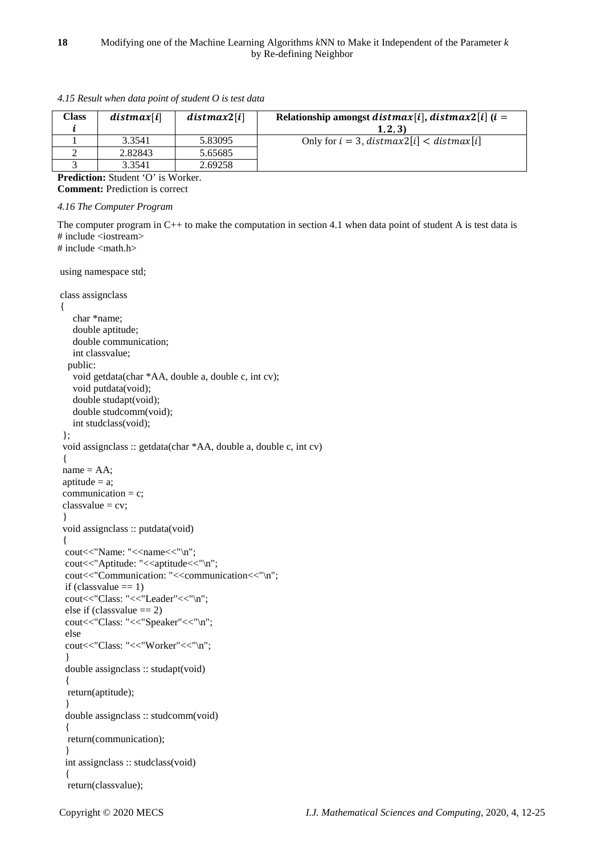| <b>Class</b>                              | distmax[i] | distmax2[i] | Relationship amongst distmax[i], distmax2[i] $(i =$<br>(1, 2, 3) |  |  |
|-------------------------------------------|------------|-------------|------------------------------------------------------------------|--|--|
|                                           | 3.3541     | 5.83095     | Only for $i = 3$ , distmax $2[i] <$ distmax $[i]$                |  |  |
|                                           | 2.82843    | 5.65685     |                                                                  |  |  |
|                                           | 3.3541     | 2.69258     |                                                                  |  |  |
| <b>Prediction:</b> Student 'O' is Worker. |            |             |                                                                  |  |  |

*4.15 Result when data point of student O is test data*

**Comment:** Prediction is correct

```
4.16 The Computer Program
```
The computer program in C++ to make the computation in section 4.1 when data point of student A is test data is # include <iostream> # include <math.h>

using namespace std;

```
class assignclass
{
    char *name;
    double aptitude;
    double communication;
    int classvalue;
   public:
    void getdata(char *AA, double a, double c, int cv);
    void putdata(void);
    double studapt(void);
    double studcomm(void);
    int studclass(void);
  };
  void assignclass :: getdata(char *AA, double a, double c, int cv)
  {
name = AA;aptitude = a;
communication = c;
classvalue = cv; }
 void assignclass :: putdata(void)
 {
 cout<<"Name: "<<name<<"\n";
 cout<<"Aptitude: "<<aptitude<<"\n";
 cout<<"Communication: "<<communication<<"\n";
 if (classvalue == 1)
 cout<<"Class: "<<"Leader"<<"\n";
 else if (classvalue == 2)
 cout<<"Class: "<<"Speaker"<<"\n";
  else
 cout<<"Class: "<<"Worker"<<"\n";
  }
  double assignclass :: studapt(void)
  {
  return(aptitude);
  }
  double assignclass :: studcomm(void)
  {
  return(communication);
 }
  int assignclass :: studclass(void)
 {
  return(classvalue);
```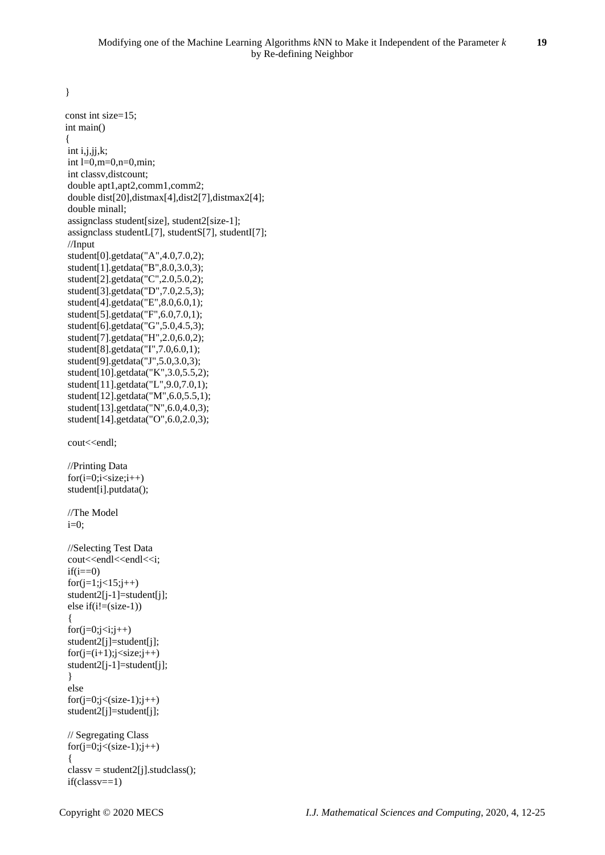}

```
 const int size=15;
 int main()
 {
int i,j,jj,k;int l=0, m=0, n=0, min; int classv,distcount;
 double apt1,apt2,comm1,comm2;
 double dist[20],distmax[4],dist2[7],distmax2[4];
 double minall;
 assignclass student[size], student2[size-1];
 assignclass studentL[7], studentS[7], studentI[7];
 //Input
 student[0].getdata("A",4.0,7.0,2);
 student[1].getdata("B",8.0,3.0,3);
student[2].getdata("C",2.0,5.0,2);
 student[3].getdata("D",7.0,2.5,3);
 student[4].getdata("E",8.0,6.0,1);
 student[5].getdata("F",6.0,7.0,1);
 student[6].getdata("G",5.0,4.5,3);
 student[7].getdata("H",2.0,6.0,2);
 student[8].getdata("I",7.0,6.0,1);
 student[9].getdata("J",5.0,3.0,3);
 student[10].getdata("K",3.0,5.5,2);
 student[11].getdata("L",9.0,7.0,1);
 student[12].getdata("M",6.0,5.5,1);
 student[13].getdata("N",6.0,4.0,3);
 student[14].getdata("O",6.0,2.0,3);
cout<<endl;
 //Printing Data
for(i=0;i<size;i++) student[i].putdata();
 //The Model
i=0;
 //Selecting Test Data
cout<<endl<<endl<<i;
if(i==0)for(j=1; j<15; j++) student2[j-1]=student[j];
else if(i = (size-1))
 {
for (j=0; j < i; j++) student2[j]=student[j];
for(j=(i+1);j\leq size;j++) student2[j-1]=student[j];
 }
 else
for(j=0;j<(size-1);j++) student2[j]=student[j];
 // Segregating Class
for(j=0;j<(size-1);j++) {
 classv = student2[j].studclass();
 if(classv==1)
```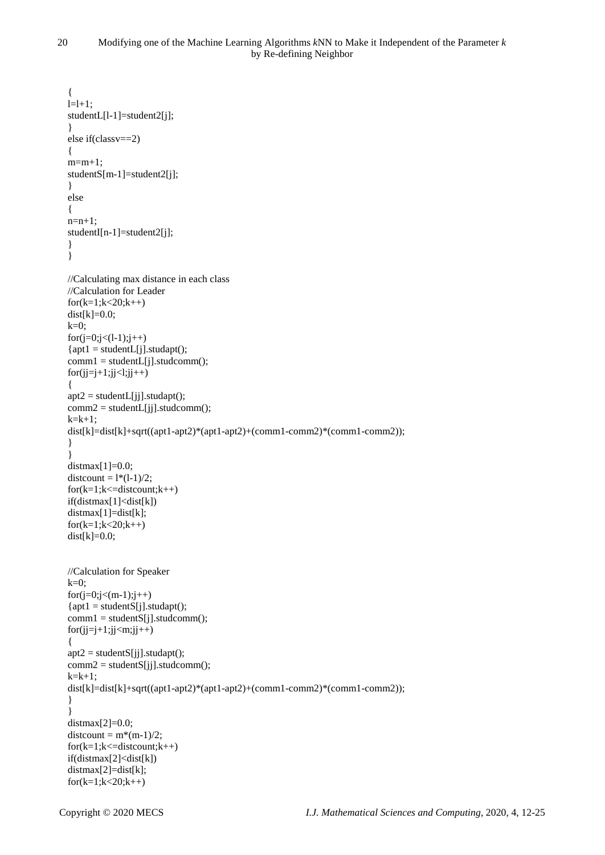```
 {
  l=1+1; studentL[l-1]=student2[j];
   }
   else if(classv==2)
   {
  m=m+1:
   studentS[m-1]=student2[j];
   }
   else
   {
   n=n+1;
   studentI[n-1]=student2[j];
 }
   }
   //Calculating max distance in each class
   //Calculation for Leader
  for(k=1; k<20; k++)dist[k]=0.0;k=0;for(j=0;j<(1-1);j++){apt1 = studentL[j].student();}comm1 = studentL[i].student();for(ij=j+1;jj<l;jj++) {
  \text{apt2} = \text{studentL}[\text{ii}].\text{student}():
  comm2 = studentL[i].studcomm();
  k=k+1:
  dist[k]=dist[k]+sqrt((apt1-apt2)*(apt1-apt2)+(comm1-comm2)*(comm1-comm2));
 }
   }
   distmax[1]=0.0;
  distcount = 1*(1-1)/2;
  for(k=1; k \leq=distcount;k++) if(distmax[1]<dist[k])
   distmax[1]=dist[k];
  for(k=1; k<20; k++)dist[k]=0.0; //Calculation for Speaker
  k=0;for(j=0;j<(m-1);j++){apt1 = studentS[i].student();}comm1 = studentS[i].student();
  for(jj=j+1;jj\leq m;jj++) {
   apt2 = studentS[jj].studapt();
  comm2 = studentS[i].student();
  k=k+1;
   dist[k]=dist[k]+sqrt((apt1-apt2)*(apt1-apt2)+(comm1-comm2)*(comm1-comm2));
   }
   }
  distmax[2]=0.0;
  distcount = m*(m-1)/2;
  for(k=1; k<=distcount;k++) if(distmax[2]<dist[k])
   distmax[2]=dist[k];
  for(k=1; k<20; k++)
```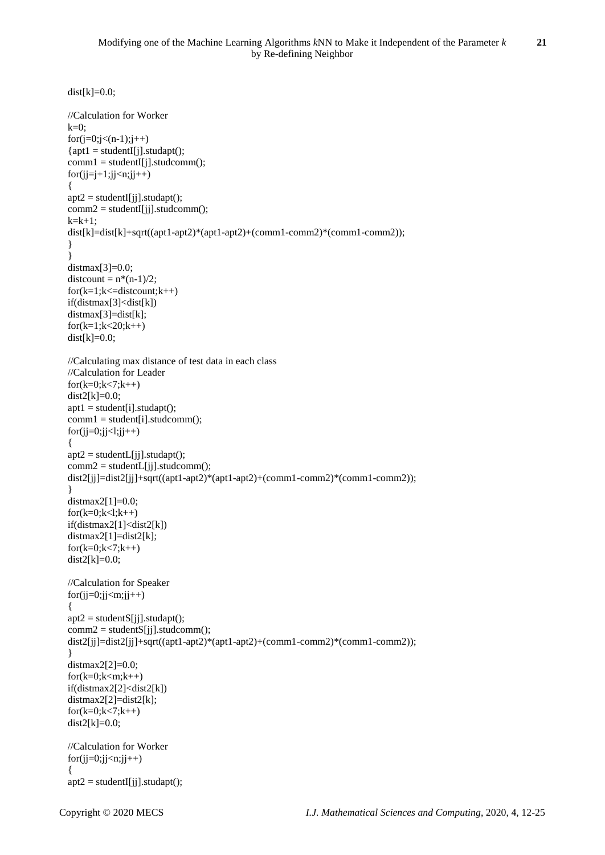```
dist[k]=0.0; //Calculation for Worker
 k=0:
 for(j=0;j<(n-1);j++){apt1 = student[I].student();}comm1 = studentI[j].studcomm();
 for(i=i+1;ij\leq n;ji++) {
 apt2 = student[[j].studapt();comm2 = student[Ij].student(;
 k=k+1;
 dist[k]=dist[k]+sqrt((apt1-apt2)*(apt1-apt2)+(comm1-comm2)*(comm1-comm2));
 }
   }
 distmax[3]=0.0;
 distcount = n*(n-1)/2;
 for(k=1; k \leq=distcount;k++) if(distmax[3]<dist[k])
  distmax[3]=dist[k];
 for(k=1; k<20; k++)dist[k]=0.0; //Calculating max distance of test data in each class
  //Calculation for Leader
 for(k=0; k<7; k++)dist2[k]=0.0;
 apt1 = student[i].student();comm1 = student[i].student();for(j=0;ji<1;ji++)\{apt2 = studentL[i].student();comm2 = studentL[i].studcomm();
 dist2[jj]=dist2[jj]+sqrt((apt1-apt2)*(apt1-apt2)+(comm1-comm2)*(comm1-comm2));
 }
 distmax2[1]=0.0;
 for(k=0; k<1; k++) if(distmax2[1]<dist2[k])
 distmax2[1]=dist2[k];
 for(k=0; k<7; k++)dist2[k]=0.0; //Calculation for Speaker
 for(i=0;ji<m;ji++) {
 apt2 = studentS[i].student();
 comm2 = studentS[i].student();
  dist2[jj]=dist2[jj]+sqrt((apt1-apt2)*(apt1-apt2)+(comm1-comm2)*(comm1-comm2));
   }
  distmax2[2]=0.0;
 for(k=0;k<m;k++) if(distmax2[2]<dist2[k])
 distmax2[2]=dist2[k];
 for(k=0; k<7; k++)dist2[k]=0.0;
  //Calculation for Worker
 for(jj=0;jj<n;jj++) {
 apt2 = student[[jj].studapt();
```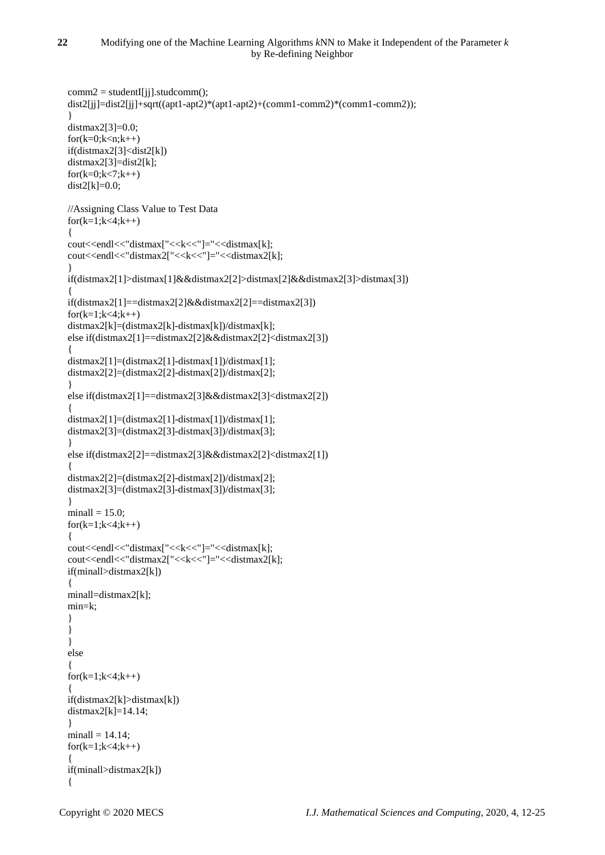```
comm2 = student[[j].student();
  dist2[jj]=dist2[jj]+sqrt((apt1-apt2)*(apt1-apt2)+(comm1-comm2)*(comm1-comm2));
   }
 distmax2[3]=0.0;
 for(k=0; k < n; k++) if(distmax2[3]<dist2[k])
 distmax2[3]=dist2[k];
 for(k=0; k < 7; k++)dist2[k]=0.0; //Assigning Class Value to Test Data
 for(k=1; k<4; k++) {
 cout<<endl<<"distmax["<<k<<"]="<<distmax[k];
 cout<<endl<<"distmax2["<<k<<"]="<<distmax2[k];
   }
  if(distmax2[1]>distmax[1]&&distmax2[2]>distmax[2]&&distmax2[3]>distmax[3])
   {
  if(distmax2[1]==distmax2[2]&&distmax2[2]==distmax2[3])
 for(k=1; k<4; k++) distmax2[k]=(distmax2[k]-distmax[k])/distmax[k];
  else if(distmax2[1]==distmax2[2]&&distmax2[2]<distmax2[3])
   {
  distmax2[1]=(distmax2[1]-distmax[1])/distmax[1];
 distmax2[2]=(distmax2[2]-distmax[2])/distmax[2];
   }
  else if(distmax2[1]==distmax2[3]&&distmax2[3]<distmax2[2])
\{distmax2[1]=(distmax2[1]-distmax[1])/distmax[1];
  distmax2[3]=(distmax2[3]-distmax[3])/distmax[3];
 }
  else if(distmax2[2]==distmax2[3]&&distmax2[2]<distmax2[1])
\{ distmax2[2]=(distmax2[2]-distmax[2])/distmax[2];
 distmax2[3]=(distmax2[3]-distmax[3])/distmax[3];
 }
 minimal = 15.0;
 for(k=1; k < 4; k++) {
 cout<<endl<<"distmax["<<k<<"]="<<distmax[k];
 cout<<endl<<"distmax2["<<k<<"]="<<distmax2[k];
  if(minall>distmax2[k])
   {
 minall=distmax2[k];
  min=k;
   }
   }
   }
  else
\{for(k=1; k<4; k++)\{ if(distmax2[k]>distmax[k])
 distmax2[k]=14.14; }
 minall = 14.14;for(k=1; k<4; k++) {
  if(minall>distmax2[k])
   {
```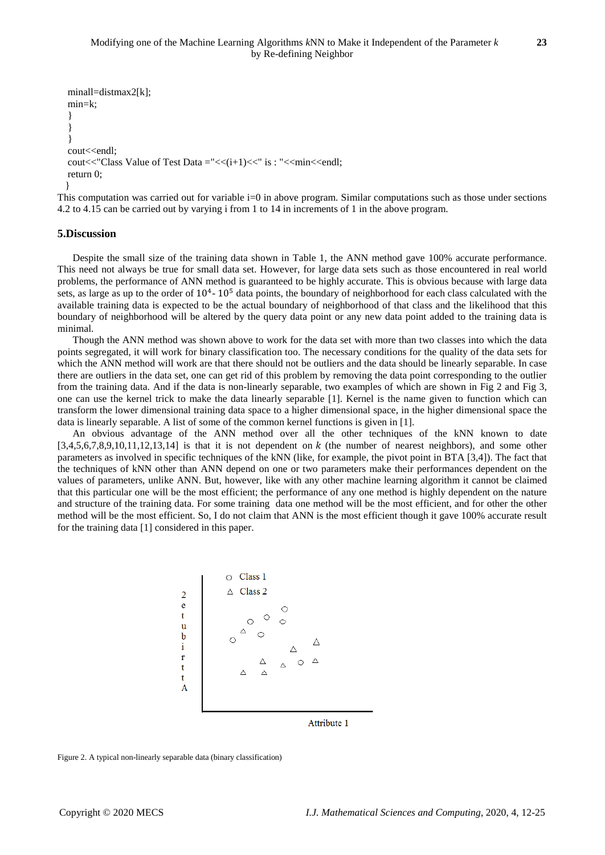```
minall=distmax2[k];
 min=k;
 }
 }
 }
cout<<endl:
cout << "Class Value of Test Data = "<< (i+1) << " is : " << min << < < < 
 return 0;
 }
```
This computation was carried out for variable i=0 in above program. Similar computations such as those under sections 4.2 to 4.15 can be carried out by varying i from 1 to 14 in increments of 1 in the above program.

## **5.Discussion**

Despite the small size of the training data shown in Table 1, the ANN method gave 100% accurate performance. This need not always be true for small data set. However, for large data sets such as those encountered in real world problems, the performance of ANN method is guaranteed to be highly accurate. This is obvious because with large data sets, as large as up to the order of  $10^4$ -  $10^5$  data points, the boundary of neighborhood for each class calculated with the available training data is expected to be the actual boundary of neighborhood of that class and the likelihood that this boundary of neighborhood will be altered by the query data point or any new data point added to the training data is minimal.

Though the ANN method was shown above to work for the data set with more than two classes into which the data points segregated, it will work for binary classification too. The necessary conditions for the quality of the data sets for which the ANN method will work are that there should not be outliers and the data should be linearly separable. In case there are outliers in the data set, one can get rid of this problem by removing the data point corresponding to the outlier from the training data. And if the data is non-linearly separable, two examples of which are shown in Fig 2 and Fig 3, one can use the kernel trick to make the data linearly separable [1]. Kernel is the name given to function which can transform the lower dimensional training data space to a higher dimensional space, in the higher dimensional space the data is linearly separable. A list of some of the common kernel functions is given in [1].

An obvious advantage of the ANN method over all the other techniques of the kNN known to date  $[3,4,5,6,7,8,9,10,11,12,13,14]$  is that it is not dependent on k (the number of nearest neighbors), and some other parameters as involved in specific techniques of the kNN (like, for example, the pivot point in BTA [3,4]). The fact that the techniques of kNN other than ANN depend on one or two parameters make their performances dependent on the values of parameters, unlike ANN. But, however, like with any other machine learning algorithm it cannot be claimed that this particular one will be the most efficient; the performance of any one method is highly dependent on the nature and structure of the training data. For some training data one method will be the most efficient, and for other the other method will be the most efficient. So, I do not claim that ANN is the most efficient though it gave 100% accurate result for the training data [1] considered in this paper.



Attribute 1

Figure 2. A typical non-linearly separable data (binary classification)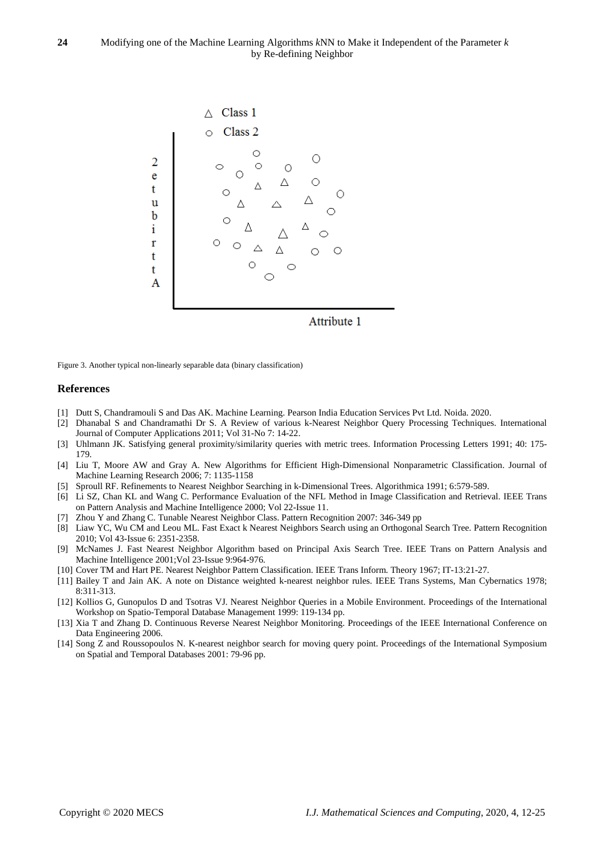

Figure 3. Another typical non-linearly separable data (binary classification)

#### **References**

- [1] Dutt S, Chandramouli S and Das AK. Machine Learning. Pearson India Education Services Pvt Ltd. Noida. 2020.
- [2] Dhanabal S and Chandramathi Dr S. A Review of various k-Nearest Neighbor Query Processing Techniques. International Journal of Computer Applications 2011; Vol 31-No 7: 14-22.
- [3] Uhlmann JK. Satisfying general proximity/similarity queries with metric trees. Information Processing Letters 1991; 40: 175- 179.
- [4] Liu T, Moore AW and Gray A. New Algorithms for Efficient High-Dimensional Nonparametric Classification. Journal of Machine Learning Research 2006; 7: 1135-1158
- [5] Sproull RF. Refinements to Nearest Neighbor Searching in k-Dimensional Trees. Algorithmica 1991; 6:579-589.
- [6] Li SZ, Chan KL and Wang C. Performance Evaluation of the NFL Method in Image Classification and Retrieval. IEEE Trans on Pattern Analysis and Machine Intelligence 2000; Vol 22-Issue 11.
- [7] Zhou Y and Zhang C. Tunable Nearest Neighbor Class. Pattern Recognition 2007: 346-349 pp
- [8] Liaw YC, Wu CM and Leou ML. Fast Exact k Nearest Neighbors Search using an Orthogonal Search Tree. Pattern Recognition 2010; Vol 43-Issue 6: 2351-2358.
- [9] McNames J. Fast Nearest Neighbor Algorithm based on Principal Axis Search Tree. IEEE Trans on Pattern Analysis and Machine Intelligence 2001;Vol 23-Issue 9:964-976.
- [10] Cover TM and Hart PE. Nearest Neighbor Pattern Classification. IEEE Trans Inform. Theory 1967; IT-13:21-27.
- [11] Bailey T and Jain AK. A note on Distance weighted k-nearest neighbor rules. IEEE Trans Systems, Man Cybernatics 1978; 8:311-313.
- [12] Kollios G, Gunopulos D and Tsotras VJ. Nearest Neighbor Queries in a Mobile Environment. Proceedings of the International Workshop on Spatio-Temporal Database Management 1999: 119-134 pp.
- [13] Xia T and Zhang D. Continuous Reverse Nearest Neighbor Monitoring. Proceedings of the IEEE International Conference on Data Engineering 2006.
- [14] Song Z and Roussopoulos N. K-nearest neighbor search for moving query point. Proceedings of the International Symposium on Spatial and Temporal Databases 2001: 79-96 pp.